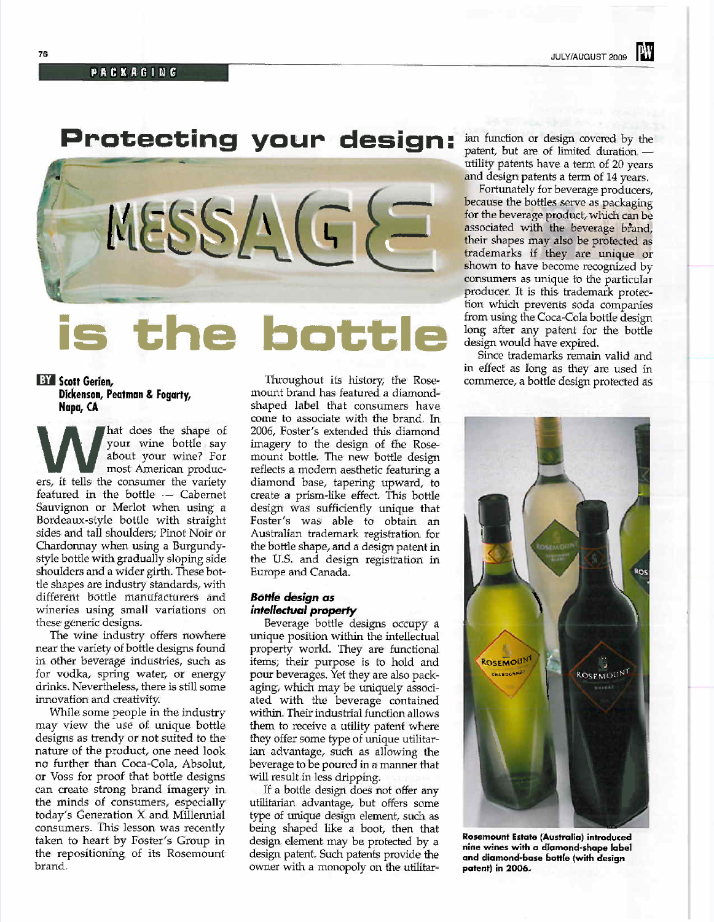# Protecting your design:



# **BY** Scott Gerien, Dickenson, Peatman & Fogarty, Napa, CA

hat does the shape of your wine bottle say about your wine? For W about your write: For ers, it tells the consumer the variety featured in the bottle -- Cabernet Sauvignon or Merlot when using a Bordeaux-style bottle with straight sides and tall shoulders; Pinot Noir or Chardonnay when using a Burgundystyle bottle with gradually sloping side shoulders and a wider girth. These bottle shapes are industry standards, with different bottle manufacturers and wineries using small variations on these generic designs.

The wine industry offers nowhere near the variety of bottle designs found in other beverage industries, such as for vodka, spring water, or energy drinks. Nevertheless, there is still some inovation and creativity.

While some people in the industry may view the use of unique bottle designs as trendy or not suited to the nature of the product, one need look no further than Coca-Cola, Absolut, or Voss for proof that bottle designs can create strong brand imagery in the minds of consumers, especially today's Generation X and Milennial consumers. This lesson was recently taken to heart by Foster's Group in the repositioning of its Rosemount brand.

Throughout its history, the Rosemount brand has featured a diamondshaped label that consumers have come to associate with the brand. In 2006, Foster's extended this diamond imagery to the design of the Rosemount bottle. The new bottle design reflects a modern aesthetic featuring a diamond base, tapering upward, to create a prism-like effect. This bottle design was sufficiently unique that Foster's was able to obtain an Australian trademark registration for the bottle shape, and a design patent in the U.S. and design registration in Europe and Canada.

# **Bottle design as** intellectual property

Beverage bottle designs occupy a unique position within the intellectual property world. They are functional items; their purpose is to hold and pour beverages. Yet they are also packaging, which may be uniquely associated with the beverage contained within. Their industrial function allows them to receive a utility patent where they offer some type of unique utilitarian advantage, such as allowing the beverage to be poured in a manner that will result in less dripping.

If a bottle design does not offer any utilitarian advantage, but offers some type of unique design element, such as being shaped like a boot, then that design element may be protected by a design patent. Such patents provide the owner with a monopoly on the utilitarian function or design covered by the patent, but are of limited duration utility patents have a term of 20 years and design patents a term of 14 years.

Fortuately for beverage producers, because the bottles serve as packaging for the beverage product, which can be associated with the beverage brand, their shapes may also be protected as trademarks if they are unique or shown to have become recognized by consumers as unique to the particular producer. It is this trademark protection which prevents soda companes from using the Coca-Cola bottle design long after any patent for the bottle design would have expired.

i

Since trademarks remain valid and in effect as long as they are used in commerce, a bottle design protected as



Rosemount Estate (Australia) introduced nine wines with a diamond-shape label and diamond-base bottle (with design patent) in 2006.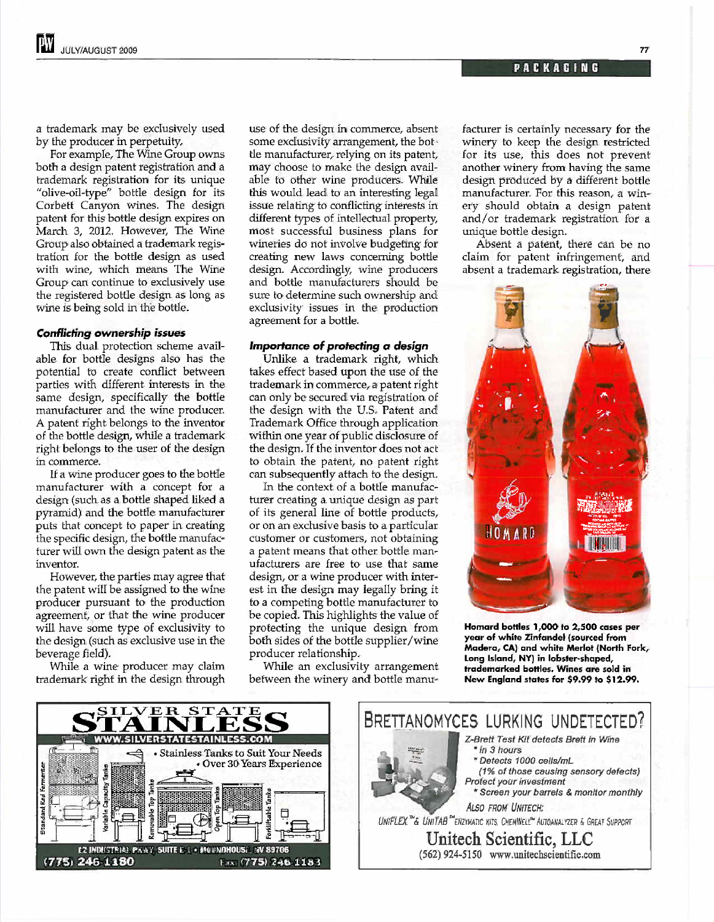a trademark may be exclusively used by the producer in perpetuity.

For example, The Wine Group owns both a design patent registration and a trademark registration for its unique "olive-oil-type" bottle design for its Corbett Canyon wines. The design patent for this bottle design expires on March 3, 2012. However, The Wine Group also obtained a trademark registration for the bottle design as used with wine, which means The Wine Group can continue to exclusively use the registered bottle design as long as wine is being sold in the bottle.

#### Conflicting ownership issues

This dual protection scheme available for bottle designs also has the potential to create confict between parties with different interests in the same design, specifically the bottle manufacturer and the wine producer. A patent right belongs to the inventor of the bottle design, whie a trademark right belongs to the user of the design in commerce.

If a wine producer goes to the bottle manufacturer with a concept for a design (such as a bottle shaped liked a pyramid) and the bottle manufacturer puts that concept to paper in creating the specific design, the bottle manufacturer wil own the design patent as the inventor.

However, the parties may agree that the patent will be assigned to the wine producer pursuant to the production agreement, or that the wine producer will have some type of exclusivity to the design (such as exclusive use in the beverage field).

While a wine producer may claim trademark right in the design through

use of the design in commerce, absent some exclusivity arrangement, the bottle manufacturer, relying on its patent, may choose to make the design available to other wine producers. While this would lead to an interesting legal issue relating to conflicting interests in different tyes of intellectual property, most successful business plans for wineries do not involve budgeting for creating new laws concerning bottle design. Accordingly, wine producers and bottle manufacturers should be sure to determine such ownership and exclusivity issues in the production agreement for a bottle.

#### Importance of protecting a design

Unlike a trademark right, which takes effect based upon the use of the trademark in commerce, a patent right can only be secured via registration of the design with the U.S. Patent and Trademark Office through application within one year of public disclosure of the design. If the inventor does not act to obtain the patent, no patent right can subsequently attach to the design.

In the context of a bottle manufacturer creating a unique design as part of its general line of bottle products, or on an exclusive basis to a particular customer or customers, not obtaining a patent means that other bottle manufacturers are free to use that same design, or a wine producer with interest in the design may legally bring it to a competing bottle manufacturer to be copied. This highlights the value of protecting the unique design from both sides of the bottle supplier/wine producer relationship.

Whle an exclusivity arrangement between the winery and bottle manufacturer is certainly necessary for the winery to keep the design restricted for its use, this does not prevent another winery from having the same design produced by a different bottle manufacturer. For this reason, a winery should obtain a design patent and/or trademark registration for a unique bottle design.

Absent a patent, there can be no claim for patent infringement, and absent a trademark registration, there



Homard bottles 1,000 to 2,500 cases per year of white Zinfandel (sourced from Madera, CAl and white Merlot (North Fork, Long Island, NY) in lobster-shaped, trademarked bottles. Wines are sold in New England states for \$9.99 to \$12.99.